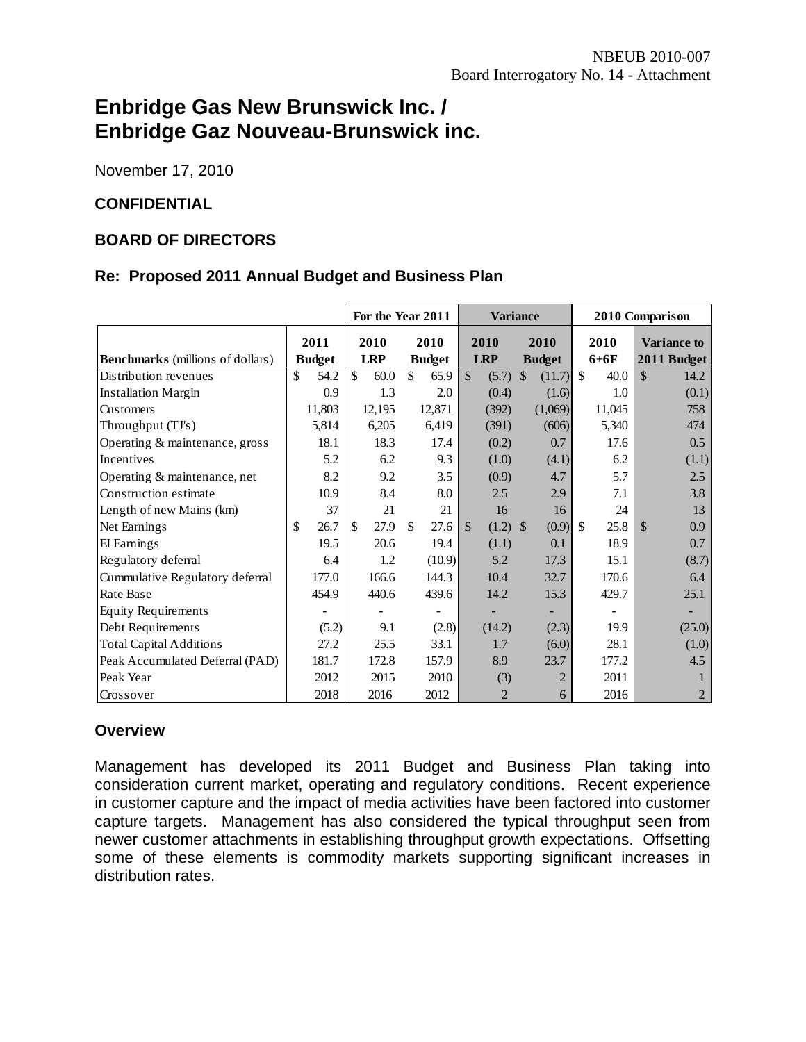# **Enbridge Gas New Brunswick Inc. / Enbridge Gaz Nouveau-Brunswick inc.**

November 17, 2010

# **CONFIDENTIAL**

#### **BOARD OF DIRECTORS**

#### **Re: Proposed 2011 Annual Budget and Business Plan**

|                                         |               | For the Year 2011<br><b>Variance</b><br>2010 Comparison |                       |                                                 |                       |                       |
|-----------------------------------------|---------------|---------------------------------------------------------|-----------------------|-------------------------------------------------|-----------------------|-----------------------|
|                                         | 2011          | 2010                                                    | 2010                  | 2010<br>2010                                    | 2010                  | <b>Variance to</b>    |
| <b>Benchmarks</b> (millions of dollars) | <b>Budget</b> | <b>LRP</b>                                              | <b>Budget</b>         | <b>LRP</b><br><b>Budget</b>                     | $6+6F$                | 2011 Budget           |
| Distribution revenues                   | \$<br>54.2    | $\mathcal{S}$<br>60.0                                   | $\mathcal{S}$<br>65.9 | $\mathbb{S}$<br>$\mathbb{S}$<br>(11.7)<br>(5.7) | $\mathbb{S}$<br>40.0  | $\mathcal{S}$<br>14.2 |
| <b>Installation Margin</b>              | 0.9           | 1.3                                                     | 2.0                   | (0.4)<br>(1.6)                                  | 1.0                   | (0.1)                 |
| Customers                               | 11,803        | 12,195                                                  | 12,871                | (1,069)<br>(392)                                | 11,045                | 758                   |
| Throughput (TJ's)                       | 5,814         | 6,205                                                   | 6,419                 | (606)<br>(391)                                  | 5,340                 | 474                   |
| Operating & maintenance, gross          | 18.1          | 18.3                                                    | 17.4                  | 0.7<br>(0.2)                                    | 17.6                  | 0.5                   |
| Incentives                              | 5.2           | 6.2                                                     | 9.3                   | (4.1)<br>(1.0)                                  | 6.2                   | (1.1)                 |
| Operating & maintenance, net            | 8.2           | 9.2                                                     | 3.5                   | 4.7<br>(0.9)                                    | 5.7                   | 2.5                   |
| Construction estimate                   | 10.9          | 8.4                                                     | 8.0                   | 2.9<br>2.5                                      | 7.1                   | 3.8                   |
| Length of new Mains (km)                | 37            | 21                                                      | 21                    | 16<br>16                                        | 24                    | 13                    |
| Net Earnings                            | \$<br>26.7    | \$<br>27.9                                              | \$<br>27.6            | $(1.2)$ \$<br>(0.9)<br>$\mathcal{S}$            | 25.8<br><sup>\$</sup> | \$<br>0.9             |
| EI Earnings                             | 19.5          | 20.6                                                    | 19.4                  | 0.1<br>(1.1)                                    | 18.9                  | 0.7                   |
| Regulatory deferral                     | 6.4           | 1.2                                                     | (10.9)                | 5.2<br>17.3                                     | 15.1                  | (8.7)                 |
| Cummulative Regulatory deferral         | 177.0         | 166.6                                                   | 144.3                 | 10.4<br>32.7                                    | 170.6                 | 6.4                   |
| Rate Base                               | 454.9         | 440.6                                                   | 439.6                 | 15.3<br>14.2                                    | 429.7                 | 25.1                  |
| <b>Equity Requirements</b>              |               |                                                         |                       |                                                 |                       |                       |
| Debt Requirements                       | (5.2)         | 9.1                                                     | (2.8)                 | (2.3)<br>(14.2)                                 | 19.9                  | (25.0)                |
| <b>Total Capital Additions</b>          | 27.2          | 25.5                                                    | 33.1                  | (6.0)<br>1.7                                    | 28.1                  | (1.0)                 |
| Peak Accumulated Deferral (PAD)         | 181.7         | 172.8                                                   | 157.9                 | 23.7<br>8.9                                     | 177.2                 | 4.5                   |
| Peak Year                               | 2012          | 2015                                                    | 2010                  | $\overline{2}$<br>(3)                           | 2011                  |                       |
| Crossover                               | 2018          | 2016                                                    | 2012                  | $\overline{2}$<br>6                             | 2016                  | 2                     |

#### **Overview**

Management has developed its 2011 Budget and Business Plan taking into consideration current market, operating and regulatory conditions. Recent experience in customer capture and the impact of media activities have been factored into customer capture targets. Management has also considered the typical throughput seen from newer customer attachments in establishing throughput growth expectations. Offsetting some of these elements is commodity markets supporting significant increases in distribution rates.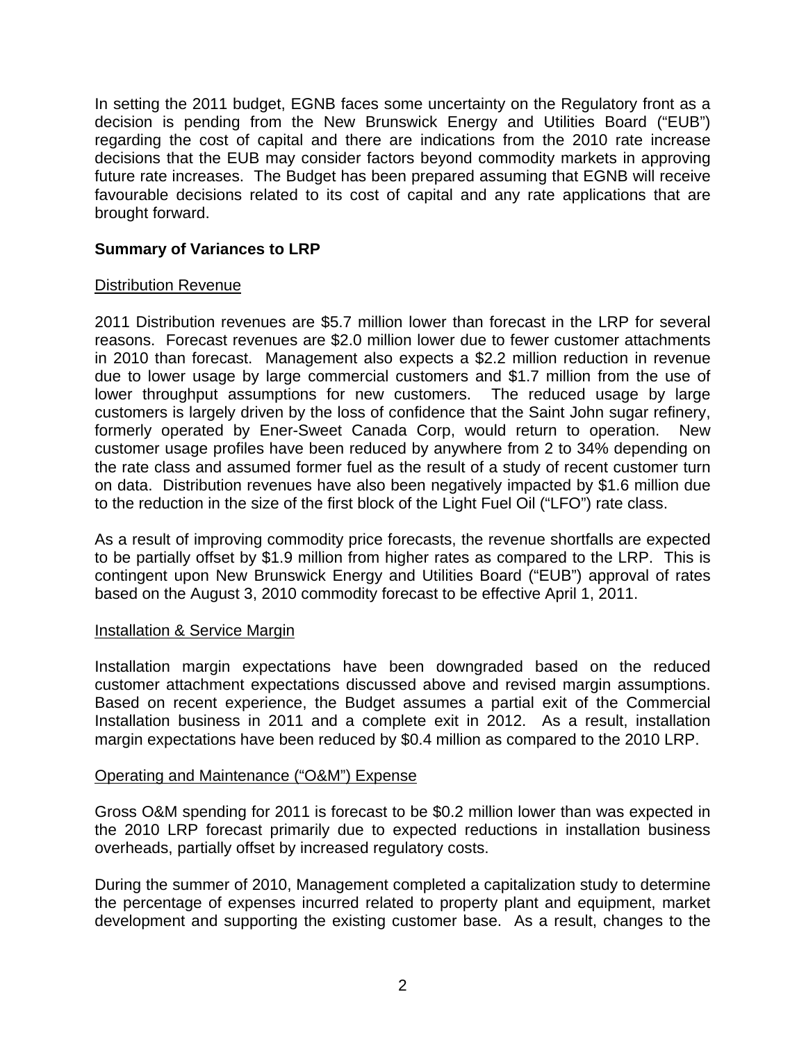In setting the 2011 budget, EGNB faces some uncertainty on the Regulatory front as a decision is pending from the New Brunswick Energy and Utilities Board ("EUB") regarding the cost of capital and there are indications from the 2010 rate increase decisions that the EUB may consider factors beyond commodity markets in approving future rate increases. The Budget has been prepared assuming that EGNB will receive favourable decisions related to its cost of capital and any rate applications that are brought forward.

# **Summary of Variances to LRP**

# Distribution Revenue

2011 Distribution revenues are \$5.7 million lower than forecast in the LRP for several reasons. Forecast revenues are \$2.0 million lower due to fewer customer attachments in 2010 than forecast. Management also expects a \$2.2 million reduction in revenue due to lower usage by large commercial customers and \$1.7 million from the use of lower throughput assumptions for new customers. The reduced usage by large customers is largely driven by the loss of confidence that the Saint John sugar refinery, formerly operated by Ener-Sweet Canada Corp, would return to operation. New customer usage profiles have been reduced by anywhere from 2 to 34% depending on the rate class and assumed former fuel as the result of a study of recent customer turn on data. Distribution revenues have also been negatively impacted by \$1.6 million due to the reduction in the size of the first block of the Light Fuel Oil ("LFO") rate class.

As a result of improving commodity price forecasts, the revenue shortfalls are expected to be partially offset by \$1.9 million from higher rates as compared to the LRP. This is contingent upon New Brunswick Energy and Utilities Board ("EUB") approval of rates based on the August 3, 2010 commodity forecast to be effective April 1, 2011.

# Installation & Service Margin

Installation margin expectations have been downgraded based on the reduced customer attachment expectations discussed above and revised margin assumptions. Based on recent experience, the Budget assumes a partial exit of the Commercial Installation business in 2011 and a complete exit in 2012. As a result, installation margin expectations have been reduced by \$0.4 million as compared to the 2010 LRP.

# Operating and Maintenance ("O&M") Expense

Gross O&M spending for 2011 is forecast to be \$0.2 million lower than was expected in the 2010 LRP forecast primarily due to expected reductions in installation business overheads, partially offset by increased regulatory costs.

During the summer of 2010, Management completed a capitalization study to determine the percentage of expenses incurred related to property plant and equipment, market development and supporting the existing customer base. As a result, changes to the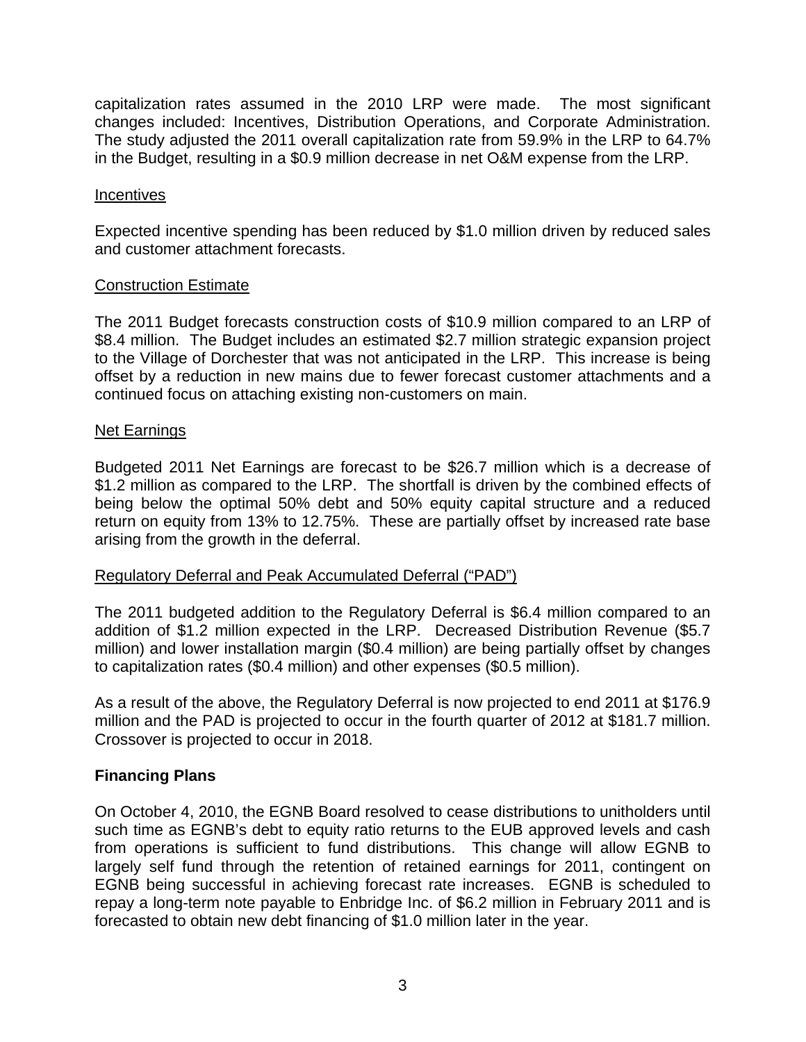capitalization rates assumed in the 2010 LRP were made. The most significant changes included: Incentives, Distribution Operations, and Corporate Administration. The study adjusted the 2011 overall capitalization rate from 59.9% in the LRP to 64.7% in the Budget, resulting in a \$0.9 million decrease in net O&M expense from the LRP.

### **Incentives**

Expected incentive spending has been reduced by \$1.0 million driven by reduced sales and customer attachment forecasts.

#### Construction Estimate

The 2011 Budget forecasts construction costs of \$10.9 million compared to an LRP of \$8.4 million. The Budget includes an estimated \$2.7 million strategic expansion project to the Village of Dorchester that was not anticipated in the LRP. This increase is being offset by a reduction in new mains due to fewer forecast customer attachments and a continued focus on attaching existing non-customers on main.

#### Net Earnings

Budgeted 2011 Net Earnings are forecast to be \$26.7 million which is a decrease of \$1.2 million as compared to the LRP. The shortfall is driven by the combined effects of being below the optimal 50% debt and 50% equity capital structure and a reduced return on equity from 13% to 12.75%. These are partially offset by increased rate base arising from the growth in the deferral.

#### Regulatory Deferral and Peak Accumulated Deferral ("PAD")

The 2011 budgeted addition to the Regulatory Deferral is \$6.4 million compared to an addition of \$1.2 million expected in the LRP. Decreased Distribution Revenue (\$5.7 million) and lower installation margin (\$0.4 million) are being partially offset by changes to capitalization rates (\$0.4 million) and other expenses (\$0.5 million).

As a result of the above, the Regulatory Deferral is now projected to end 2011 at \$176.9 million and the PAD is projected to occur in the fourth quarter of 2012 at \$181.7 million. Crossover is projected to occur in 2018.

# **Financing Plans**

On October 4, 2010, the EGNB Board resolved to cease distributions to unitholders until such time as EGNB's debt to equity ratio returns to the EUB approved levels and cash from operations is sufficient to fund distributions. This change will allow EGNB to largely self fund through the retention of retained earnings for 2011, contingent on EGNB being successful in achieving forecast rate increases. EGNB is scheduled to repay a long-term note payable to Enbridge Inc. of \$6.2 million in February 2011 and is forecasted to obtain new debt financing of \$1.0 million later in the year.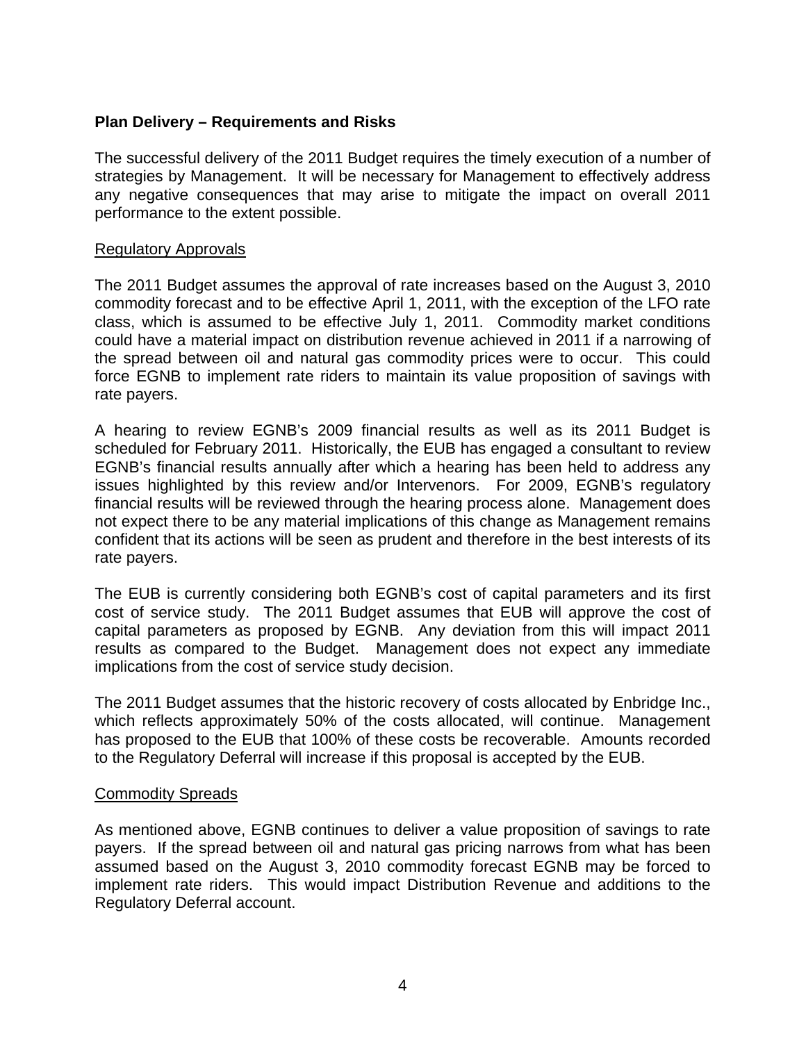# **Plan Delivery – Requirements and Risks**

The successful delivery of the 2011 Budget requires the timely execution of a number of strategies by Management. It will be necessary for Management to effectively address any negative consequences that may arise to mitigate the impact on overall 2011 performance to the extent possible.

#### Regulatory Approvals

The 2011 Budget assumes the approval of rate increases based on the August 3, 2010 commodity forecast and to be effective April 1, 2011, with the exception of the LFO rate class, which is assumed to be effective July 1, 2011. Commodity market conditions could have a material impact on distribution revenue achieved in 2011 if a narrowing of the spread between oil and natural gas commodity prices were to occur. This could force EGNB to implement rate riders to maintain its value proposition of savings with rate payers.

A hearing to review EGNB's 2009 financial results as well as its 2011 Budget is scheduled for February 2011. Historically, the EUB has engaged a consultant to review EGNB's financial results annually after which a hearing has been held to address any issues highlighted by this review and/or Intervenors. For 2009, EGNB's regulatory financial results will be reviewed through the hearing process alone. Management does not expect there to be any material implications of this change as Management remains confident that its actions will be seen as prudent and therefore in the best interests of its rate payers.

The EUB is currently considering both EGNB's cost of capital parameters and its first cost of service study. The 2011 Budget assumes that EUB will approve the cost of capital parameters as proposed by EGNB. Any deviation from this will impact 2011 results as compared to the Budget. Management does not expect any immediate implications from the cost of service study decision.

The 2011 Budget assumes that the historic recovery of costs allocated by Enbridge Inc., which reflects approximately 50% of the costs allocated, will continue. Management has proposed to the EUB that 100% of these costs be recoverable. Amounts recorded to the Regulatory Deferral will increase if this proposal is accepted by the EUB.

#### Commodity Spreads

As mentioned above, EGNB continues to deliver a value proposition of savings to rate payers. If the spread between oil and natural gas pricing narrows from what has been assumed based on the August 3, 2010 commodity forecast EGNB may be forced to implement rate riders. This would impact Distribution Revenue and additions to the Regulatory Deferral account.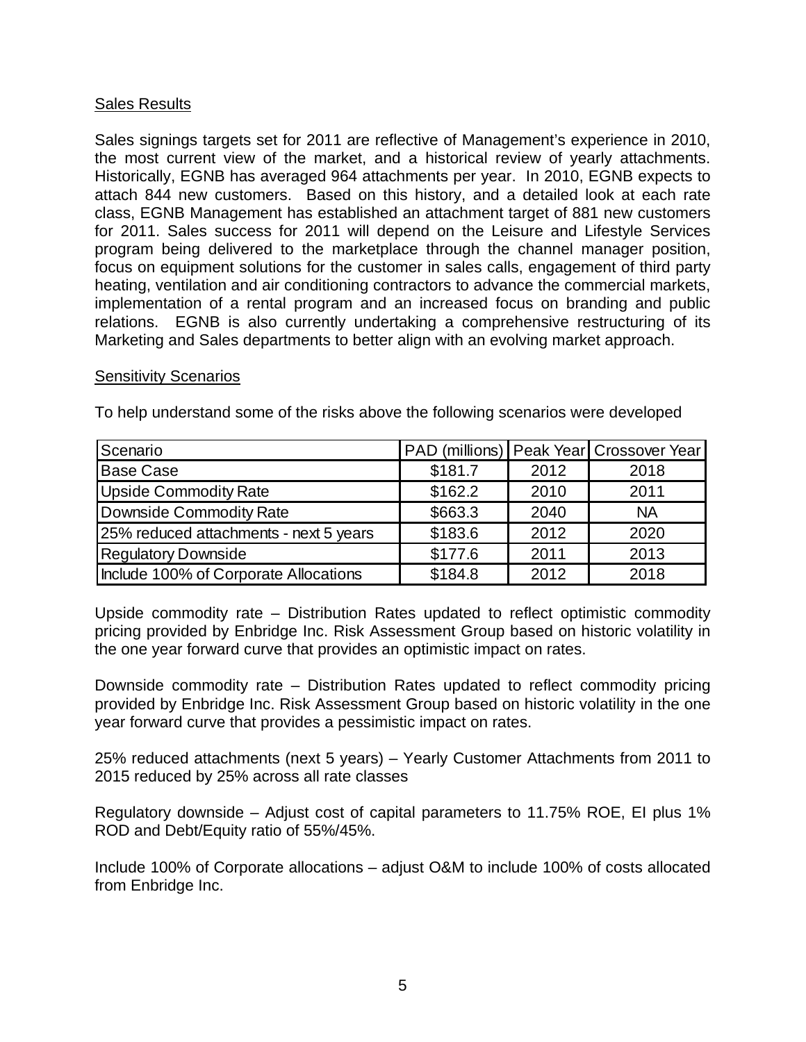# Sales Results

Sales signings targets set for 2011 are reflective of Management's experience in 2010, the most current view of the market, and a historical review of yearly attachments. Historically, EGNB has averaged 964 attachments per year. In 2010, EGNB expects to attach 844 new customers. Based on this history, and a detailed look at each rate class, EGNB Management has established an attachment target of 881 new customers for 2011. Sales success for 2011 will depend on the Leisure and Lifestyle Services program being delivered to the marketplace through the channel manager position, focus on equipment solutions for the customer in sales calls, engagement of third party heating, ventilation and air conditioning contractors to advance the commercial markets, implementation of a rental program and an increased focus on branding and public relations. EGNB is also currently undertaking a comprehensive restructuring of its Marketing and Sales departments to better align with an evolving market approach.

#### Sensitivity Scenarios

To help understand some of the risks above the following scenarios were developed

| Scenario                               |         |      | PAD (millions) Peak Year Crossover Year |
|----------------------------------------|---------|------|-----------------------------------------|
| <b>Base Case</b>                       | \$181.7 | 2012 | 2018                                    |
| <b>Upside Commodity Rate</b>           | \$162.2 | 2010 | 2011                                    |
| <b>Downside Commodity Rate</b>         | \$663.3 | 2040 | <b>NA</b>                               |
| 25% reduced attachments - next 5 years | \$183.6 | 2012 | 2020                                    |
| <b>Regulatory Downside</b>             | \$177.6 | 2011 | 2013                                    |
| Include 100% of Corporate Allocations  | \$184.8 | 2012 | 2018                                    |

Upside commodity rate – Distribution Rates updated to reflect optimistic commodity pricing provided by Enbridge Inc. Risk Assessment Group based on historic volatility in the one year forward curve that provides an optimistic impact on rates.

Downside commodity rate – Distribution Rates updated to reflect commodity pricing provided by Enbridge Inc. Risk Assessment Group based on historic volatility in the one year forward curve that provides a pessimistic impact on rates.

25% reduced attachments (next 5 years) – Yearly Customer Attachments from 2011 to 2015 reduced by 25% across all rate classes

Regulatory downside – Adjust cost of capital parameters to 11.75% ROE, EI plus 1% ROD and Debt/Equity ratio of 55%/45%.

Include 100% of Corporate allocations – adjust O&M to include 100% of costs allocated from Enbridge Inc.